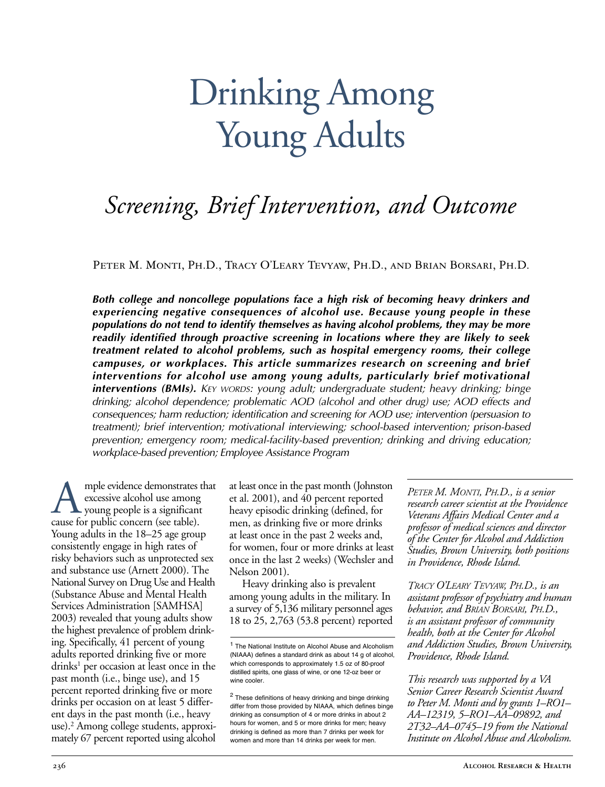# Drinking Among Young Adults

# *Screening, Brief Intervention, and Outcome*

Peter M. Monti, Ph.D., Tracy O'Leary Tevyaw, Ph.D., and Brian Borsari, Ph.D.

*Both college and noncollege populations face a high risk of becoming heavy drinkers and experiencing negative consequences of alcohol use. Because young people in these populations do not tend to identify themselves as having alcohol problems, they may be more readily identified through proactive screening in locations where they are likely to seek treatment related to alcohol problems, such as hospital emergency rooms, their college campuses, or workplaces. This article summarizes research on screening and brief interventions for alcohol use among young adults, particularly brief motivational interventions (BMIs). KEY WORDS: young adult; undergraduate student; heavy drinking; binge drinking; alcohol dependence; problematic AOD (alcohol and other drug) use; AOD effects and consequences; harm reduction; identification and screening for AOD use; intervention (persuasion to treatment); brief intervention; motivational interviewing; schoolbased intervention; prisonbased* prevention; emergency room; medical-facility-based prevention; drinking and driving education; *workplacebased prevention; Employee Assistance Program*

mple evidence demonstrates that excessive alcohol use among young people is a significant cause for public concern (see table). Young adults in the 18–25 age group consistently engage in high rates of risky behaviors such as unprotected sex and substance use (Arnett 2000). The National Survey on Drug Use and Health (Substance Abuse and Mental Health Services Administration [SAMHSA] 2003) revealed that young adults show the highest prevalence of problem drinking. Specifically, 41 percent of young adults reported drinking five or more drinks<sup>1</sup> per occasion at least once in the past month (i.e., binge use), and 15 percent reported drinking five or more drinks per occasion on at least 5 different days in the past month (i.e., heavy use).<sup>2</sup> Among college students, approximately 67 percent reported using alcohol

at least once in the past month (Johnston et al. 2001), and 40 percent reported heavy episodic drinking (defined, for men, as drinking five or more drinks at least once in the past 2 weeks and, for women, four or more drinks at least once in the last 2 weeks) (Wechsler and Nelson 2001).

Heavy drinking also is prevalent among young adults in the military. In a survey of 5,136 military personnel ages 18 to 25, 2,763 (53.8 percent) reported

<sup>2</sup> These definitions of heavy drinking and binge drinking differ from those provided by NIAAA, which defines binge drinking as consumption of 4 or more drinks in about 2 hours for women, and 5 or more drinks for men; heavy drinking is defined as more than 7 drinks per week for women and more than 14 drinks per week for men.

*PETER M. MONTI, PH.D., is a senior research career scientist at the Providence Veterans Affairs Medical Center and a professor of medical sciences and director of the Center for Alcohol and Addiction Studies, Brown University, both positions in Providence, Rhode Island.* 

*TRACY O'LEARY TEVYAW, PH.D., is an assistant professor of psychiatry and human behavior, and BRIAN BORSARI, PH.D., is an assistant professor of community health, both at the Center for Alcohol and Addiction Studies, Brown University, Providence, Rhode Island.*

*This research was supported by a VA Senior Career Research Scientist Award to Peter M. Monti and by grants 1–RO1– AA–12319, 5–RO1–AA–09892, and 2T32–AA–0745–19 from the National Institute on Alcohol Abuse and Alcoholism.*

<sup>1</sup> The National Institute on Alcohol Abuse and Alcoholism (NIAAA) defines a standard drink as about 14 g of alcohol, which corresponds to approximately  $1.5$  oz of 80-proof distilled spirits, one glass of wine, or one 12-oz beer or wine cooler.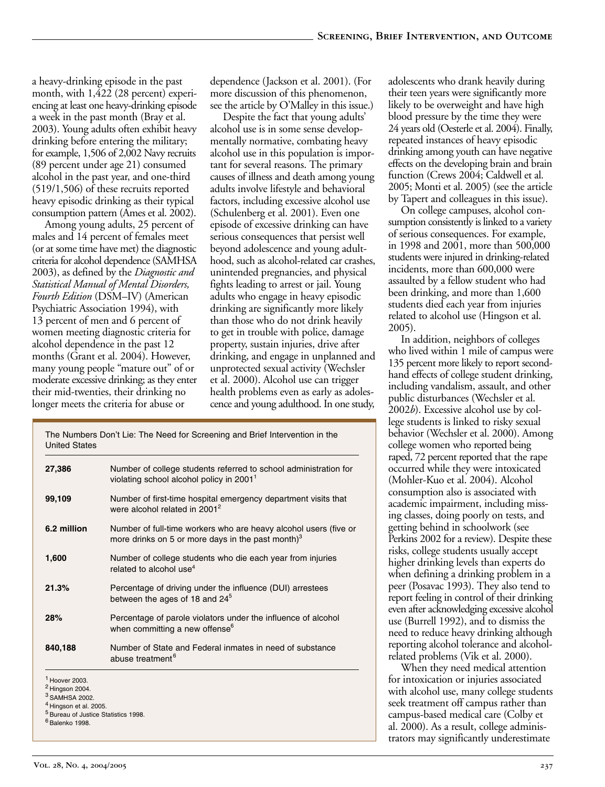a heavy-drinking episode in the past month, with 1,422 (28 percent) experiencing at least one heavy-drinking episode a week in the past month (Bray et al. 2003). Young adults often exhibit heavy drinking before entering the military; for example, 1,506 of 2,002 Navy recruits (89 percent under age 21) consumed alcohol in the past year, and one-third (519/1,506) of these recruits reported heavy episodic drinking as their typical consumption pattern (Ames et al. 2002).

Among young adults, 25 percent of males and 14 percent of females meet (or at some time have met) the diagnostic criteria for alcohol dependence (SAMHSA 2003), as defined by the *Diagnostic and Statistical Manual of Mental Disorders, Fourth Edition* (DSM–IV) (American Psychiatric Association 1994), with 13 percent of men and 6 percent of women meeting diagnostic criteria for alcohol dependence in the past 12 months (Grant et al. 2004). However, many young people "mature out" of or moderate excessive drinking; as they enter their mid-twenties, their drinking no longer meets the criteria for abuse or

dependence (Jackson et al. 2001). (For more discussion of this phenomenon, see the article by O'Malley in this issue.)

Despite the fact that young adults' alcohol use is in some sense developmentally normative, combating heavy alcohol use in this population is important for several reasons. The primary causes of illness and death among young adults involve lifestyle and behavioral factors, including excessive alcohol use (Schulenberg et al. 2001). Even one episode of excessive drinking can have serious consequences that persist well beyond adolescence and young adulthood, such as alcohol-related car crashes, unintended pregnancies, and physical fights leading to arrest or jail. Young adults who engage in heavy episodic drinking are significantly more likely than those who do not drink heavily to get in trouble with police, damage property, sustain injuries, drive after drinking, and engage in unplanned and unprotected sexual activity (Wechsler et al. 2000). Alcohol use can trigger health problems even as early as adolescence and young adulthood. In one study,

| The Numbers Don't Lie: The Need for Screening and Brief Intervention in the<br><b>United States</b>              |                                                                                                                          |
|------------------------------------------------------------------------------------------------------------------|--------------------------------------------------------------------------------------------------------------------------|
| 27,386                                                                                                           | Number of college students referred to school administration for<br>violating school alcohol policy in 2001 <sup>1</sup> |
| 99,109                                                                                                           | Number of first-time hospital emergency department visits that<br>were alcohol related in 2001 <sup>2</sup>              |
| 6.2 million                                                                                                      | Number of full-time workers who are heavy alcohol users (five or<br>more drinks on 5 or more days in the past month) $3$ |
| 1,600                                                                                                            | Number of college students who die each year from injuries<br>related to alcohol use <sup>4</sup>                        |
| 21.3%                                                                                                            | Percentage of driving under the influence (DUI) arrestees<br>between the ages of 18 and 24 <sup>5</sup>                  |
| 28%                                                                                                              | Percentage of parole violators under the influence of alcohol<br>when committing a new offense <sup>6</sup>              |
| 840,188                                                                                                          | Number of State and Federal inmates in need of substance<br>abuse treatment <sup>6</sup>                                 |
| <sup>1</sup> Hoover 2003.<br>$2$ Hingson 2004.<br><sup>3</sup> SAMHSA 2002.<br><sup>4</sup> Hingson et al. 2005. |                                                                                                                          |

- <sup>5</sup> Bureau of Justice Statistics 1998.
- <sup>6</sup> Balenko 1998.

adolescents who drank heavily during their teen years were significantly more likely to be overweight and have high blood pressure by the time they were 24 years old (Oesterle et al. 2004). Finally, repeated instances of heavy episodic drinking among youth can have negative effects on the developing brain and brain function (Crews 2004; Caldwell et al. 2005; Monti et al. 2005) (see the article by Tapert and colleagues in this issue).

On college campuses, alcohol consumption consistently is linked to a variety of serious consequences. For example, in 1998 and 2001, more than 500,000 students were injured in drinking-related incidents, more than 600,000 were assaulted by a fellow student who had been drinking, and more than 1,600 students died each year from injuries related to alcohol use (Hingson et al. 2005).

In addition, neighbors of colleges who lived within 1 mile of campus were 135 percent more likely to report secondhand effects of college student drinking, including vandalism, assault, and other public disturbances (Wechsler et al. 2002*b*). Excessive alcohol use by college students is linked to risky sexual behavior (Wechsler et al. 2000). Among college women who reported being raped, 72 percent reported that the rape occurred while they were intoxicated (Mohler-Kuo et al. 2004). Alcohol consumption also is associated with academic impairment, including missing classes, doing poorly on tests, and getting behind in schoolwork (see Perkins 2002 for a review). Despite these risks, college students usually accept higher drinking levels than experts do when defining a drinking problem in a peer (Posavac 1993). They also tend to report feeling in control of their drinking even after acknowledging excessive alcohol use (Burrell 1992), and to dismiss the need to reduce heavy drinking although reporting alcohol tolerance and alcoholrelated problems (Vik et al. 2000).

When they need medical attention for intoxication or injuries associated with alcohol use, many college students seek treatment off campus rather than campus-based medical care (Colby et al. 2000). As a result, college administrators may significantly underestimate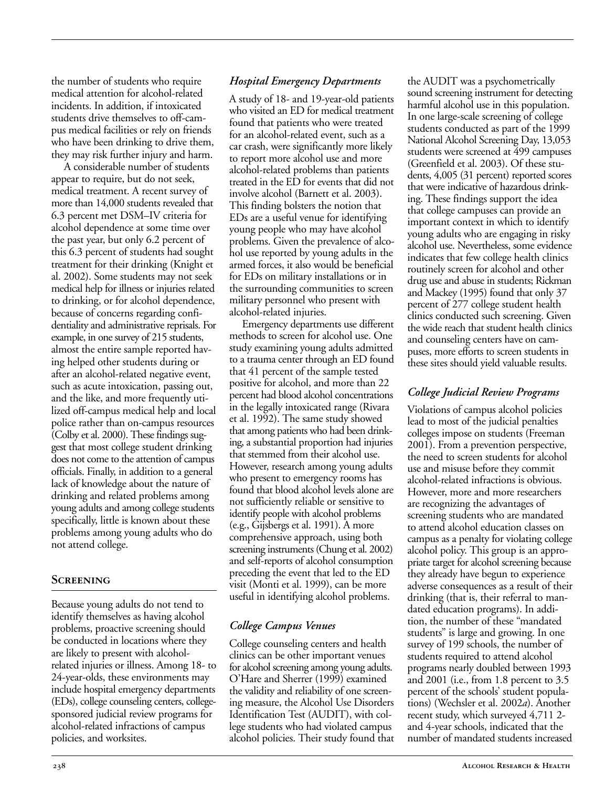the number of students who require medical attention for alcohol-related incidents. In addition, if intoxicated students drive themselves to off-campus medical facilities or rely on friends who have been drinking to drive them, they may risk further injury and harm.

A considerable number of students appear to require, but do not seek, medical treatment. A recent survey of more than 14,000 students revealed that 6.3 percent met DSM–IV criteria for alcohol dependence at some time over the past year, but only 6.2 percent of this 6.3 percent of students had sought treatment for their drinking (Knight et al. 2002). Some students may not seek medical help for illness or injuries related to drinking, or for alcohol dependence, because of concerns regarding confidentiality and administrative reprisals. For example, in one survey of 215 students, almost the entire sample reported having helped other students during or after an alcohol-related negative event, such as acute intoxication, passing out, and the like, and more frequently utilized off-campus medical help and local police rather than on-campus resources (Colby et al. 2000). These findings suggest that most college student drinking does not come to the attention of campus officials. Finally, in addition to a general lack of knowledge about the nature of drinking and related problems among young adults and among college students specifically, little is known about these problems among young adults who do not attend college.

#### **Screening**

Because young adults do not tend to identify themselves as having alcohol problems, proactive screening should be conducted in locations where they are likely to present with alcoholrelated injuries or illness. Among 18- to 24-year-olds, these environments may include hospital emergency departments (EDs), college counseling centers, collegesponsored judicial review programs for alcohol-related infractions of campus policies, and worksites.

#### *Hospital Emergency Departments*

A study of 18- and 19-year-old patients who visited an ED for medical treatment found that patients who were treated for an alcohol-related event, such as a car crash, were significantly more likely to report more alcohol use and more alcohol-related problems than patients treated in the ED for events that did not involve alcohol (Barnett et al. 2003). This finding bolsters the notion that EDs are a useful venue for identifying young people who may have alcohol problems. Given the prevalence of alcohol use reported by young adults in the armed forces, it also would be beneficial for EDs on military installations or in the surrounding communities to screen military personnel who present with alcohol-related injuries.

Emergency departments use different methods to screen for alcohol use. One study examining young adults admitted to a trauma center through an ED found that 41 percent of the sample tested positive for alcohol, and more than 22 percent had blood alcohol concentrations in the legally intoxicated range (Rivara et al. 1992). The same study showed that among patients who had been drinking, a substantial proportion had injuries that stemmed from their alcohol use. However, research among young adults who present to emergency rooms has found that blood alcohol levels alone are not sufficiently reliable or sensitive to identify people with alcohol problems (e.g., Gijsbergs et al. 1991). A more comprehensive approach, using both screening instruments (Chung et al. 2002) and self-reports of alcohol consumption preceding the event that led to the ED visit (Monti et al. 1999), can be more useful in identifying alcohol problems.

### *College Campus Venues*

College counseling centers and health clinics can be other important venues for alcohol screening among young adults. O'Hare and Sherrer (1999) examined the validity and reliability of one screening measure, the Alcohol Use Disorders Identification Test (AUDIT), with college students who had violated campus alcohol policies. Their study found that the AUDIT was a psychometrically sound screening instrument for detecting harmful alcohol use in this population. In one large-scale screening of college students conducted as part of the 1999 National Alcohol Screening Day, 13,053 students were screened at 499 campuses (Greenfield et al. 2003). Of these students, 4,005 (31 percent) reported scores that were indicative of hazardous drinking. These findings support the idea that college campuses can provide an important context in which to identify young adults who are engaging in risky alcohol use. Nevertheless, some evidence indicates that few college health clinics routinely screen for alcohol and other drug use and abuse in students; Rickman and Mackey (1995) found that only 37 percent of 277 college student health clinics conducted such screening. Given the wide reach that student health clinics and counseling centers have on campuses, more efforts to screen students in these sites should yield valuable results.

## *College Judicial Review Programs*

Violations of campus alcohol policies lead to most of the judicial penalties colleges impose on students (Freeman 2001). From a prevention perspective, the need to screen students for alcohol use and misuse before they commit alcohol-related infractions is obvious. However, more and more researchers are recognizing the advantages of screening students who are mandated to attend alcohol education classes on campus as a penalty for violating college alcohol policy. This group is an appropriate target for alcohol screening because they already have begun to experience adverse consequences as a result of their drinking (that is, their referral to mandated education programs). In addition, the number of these "mandated students" is large and growing. In one survey of 199 schools, the number of students required to attend alcohol programs nearly doubled between 1993 and 2001 (i.e., from 1.8 percent to 3.5 percent of the schools' student populations) (Wechsler et al. 2002*a*). Another recent study, which surveyed 4,711 2 and 4-year schools, indicated that the number of mandated students increased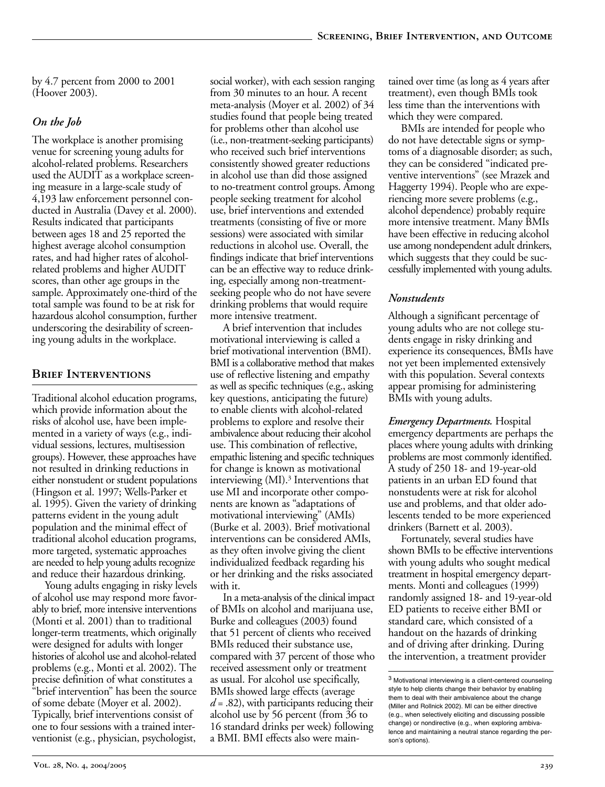by 4.7 percent from 2000 to 2001 (Hoover 2003).

#### *On the Job*

The workplace is another promising venue for screening young adults for alcohol-related problems. Researchers used the AUDIT as a workplace screening measure in a large-scale study of 4,193 law enforcement personnel conducted in Australia (Davey et al. 2000). Results indicated that participants between ages 18 and 25 reported the highest average alcohol consumption rates, and had higher rates of alcoholrelated problems and higher AUDIT scores, than other age groups in the sample. Approximately one-third of the total sample was found to be at risk for hazardous alcohol consumption, further underscoring the desirability of screening young adults in the workplace.

#### **Brief Interventions**

Traditional alcohol education programs, which provide information about the risks of alcohol use, have been implemented in a variety of ways (e.g., individual sessions, lectures, multisession groups). However, these approaches have not resulted in drinking reductions in either nonstudent or student populations (Hingson et al. 1997; Wells-Parker et al. 1995). Given the variety of drinking patterns evident in the young adult population and the minimal effect of traditional alcohol education programs, more targeted, systematic approaches are needed to help young adults recognize and reduce their hazardous drinking.

Young adults engaging in risky levels of alcohol use may respond more favorably to brief, more intensive interventions (Monti et al. 2001) than to traditional longer-term treatments, which originally were designed for adults with longer histories of alcohol use and alcohol-related problems (e.g., Monti et al. 2002). The precise definition of what constitutes a "brief intervention" has been the source of some debate (Moyer et al. 2002). Typically, brief interventions consist of one to four sessions with a trained interventionist (e.g., physician, psychologist,

social worker), with each session ranging from 30 minutes to an hour. A recent meta-analysis (Moyer et al. 2002) of 34 studies found that people being treated for problems other than alcohol use (i.e., non-treatment-seeking participants) who received such brief interventions consistently showed greater reductions in alcohol use than did those assigned to no-treatment control groups. Among people seeking treatment for alcohol use, brief interventions and extended treatments (consisting of five or more sessions) were associated with similar reductions in alcohol use. Overall, the findings indicate that brief interventions can be an effective way to reduce drinking, especially among non-treatmentseeking people who do not have severe drinking problems that would require more intensive treatment.

A brief intervention that includes motivational interviewing is called a brief motivational intervention (BMI). BMI is a collaborative method that makes use of reflective listening and empathy as well as specific techniques (e.g., asking key questions, anticipating the future) to enable clients with alcohol-related problems to explore and resolve their ambivalence about reducing their alcohol use. This combination of reflective, empathic listening and specific techniques for change is known as motivational interviewing (MI).3 Interventions that use MI and incorporate other components are known as "adaptations of motivational interviewing" (AMIs) (Burke et al. 2003). Brief motivational interventions can be considered AMIs, as they often involve giving the client individualized feedback regarding his or her drinking and the risks associated with it.

In a meta-analysis of the clinical impact of BMIs on alcohol and marijuana use, Burke and colleagues (2003) found that 51 percent of clients who received BMIs reduced their substance use, compared with 37 percent of those who received assessment only or treatment as usual. For alcohol use specifically, BMIs showed large effects (average *d* = .82), with participants reducing their alcohol use by 56 percent (from 36 to 16 standard drinks per week) following a BMI. BMI effects also were main-

tained over time (as long as 4 years after treatment), even though BMIs took less time than the interventions with which they were compared.

BMIs are intended for people who do not have detectable signs or symptoms of a diagnosable disorder; as such, they can be considered "indicated preventive interventions" (see Mrazek and Haggerty 1994). People who are experiencing more severe problems (e.g., alcohol dependence) probably require more intensive treatment. Many BMIs have been effective in reducing alcohol use among nondependent adult drinkers, which suggests that they could be successfully implemented with young adults.

#### *Nonstudents*

Although a significant percentage of young adults who are not college students engage in risky drinking and experience its consequences, BMIs have not yet been implemented extensively with this population. Several contexts appear promising for administering BMIs with young adults.

*Emergency Departments.* Hospital emergency departments are perhaps the places where young adults with drinking problems are most commonly identified. A study of 250 18- and 19-year-old patients in an urban ED found that nonstudents were at risk for alcohol use and problems, and that older adolescents tended to be more experienced drinkers (Barnett et al. 2003).

Fortunately, several studies have shown BMIs to be effective interventions with young adults who sought medical treatment in hospital emergency departments. Monti and colleagues (1999) randomly assigned 18- and 19-year-old ED patients to receive either BMI or standard care, which consisted of a handout on the hazards of drinking and of driving after drinking. During the intervention, a treatment provider

 $3$  Motivational interviewing is a client-centered counseling style to help clients change their behavior by enabling them to deal with their ambivalence about the change (Miller and Rollnick 2002). MI can be either directive (e.g., when selectively eliciting and discussing possible change) or nondirective (e.g., when exploring ambivalence and maintaining a neutral stance regarding the person's options).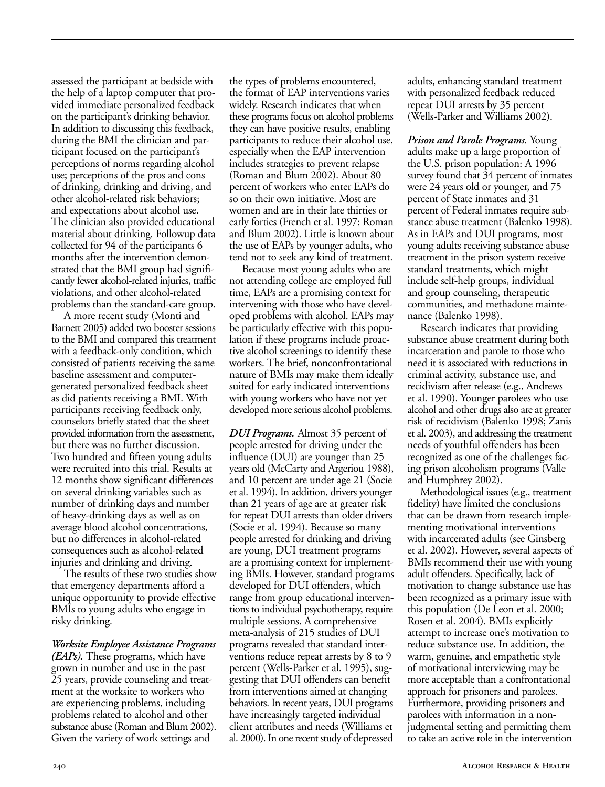assessed the participant at bedside with the help of a laptop computer that provided immediate personalized feedback on the participant's drinking behavior. In addition to discussing this feedback, during the BMI the clinician and participant focused on the participant's perceptions of norms regarding alcohol use; perceptions of the pros and cons of drinking, drinking and driving, and other alcohol-related risk behaviors; and expectations about alcohol use. The clinician also provided educational material about drinking. Followup data collected for 94 of the participants 6 months after the intervention demonstrated that the BMI group had significantly fewer alcohol-related injuries, traffic violations, and other alcohol-related problems than the standard-care group.

A more recent study (Monti and Barnett 2005) added two booster sessions to the BMI and compared this treatment with a feedback-only condition, which consisted of patients receiving the same baseline assessment and computergenerated personalized feedback sheet as did patients receiving a BMI. With participants receiving feedback only, counselors briefly stated that the sheet provided information from the assessment, but there was no further discussion. Two hundred and fifteen young adults were recruited into this trial. Results at 12 months show significant differences on several drinking variables such as number of drinking days and number of heavy-drinking days as well as on average blood alcohol concentrations, but no differences in alcohol-related consequences such as alcohol-related injuries and drinking and driving.

The results of these two studies show that emergency departments afford a unique opportunity to provide effective BMIs to young adults who engage in risky drinking.

#### *Worksite Employee Assistance Programs*

*(EAPs).* These programs, which have grown in number and use in the past 25 years, provide counseling and treatment at the worksite to workers who are experiencing problems, including problems related to alcohol and other substance abuse (Roman and Blum 2002). Given the variety of work settings and

the types of problems encountered, the format of EAP interventions varies widely. Research indicates that when these programs focus on alcohol problems they can have positive results, enabling participants to reduce their alcohol use, especially when the EAP intervention includes strategies to prevent relapse (Roman and Blum 2002). About 80 percent of workers who enter EAPs do so on their own initiative. Most are women and are in their late thirties or early forties (French et al. 1997; Roman and Blum 2002). Little is known about the use of EAPs by younger adults, who tend not to seek any kind of treatment.

Because most young adults who are not attending college are employed full time, EAPs are a promising context for intervening with those who have developed problems with alcohol. EAPs may be particularly effective with this population if these programs include proactive alcohol screenings to identify these workers. The brief, nonconfrontational nature of BMIs may make them ideally suited for early indicated interventions with young workers who have not yet developed more serious alcohol problems.

*DUI Programs.* Almost 35 percent of people arrested for driving under the influence (DUI) are younger than 25 years old (McCarty and Argeriou 1988), and 10 percent are under age 21 (Socie et al. 1994). In addition, drivers younger than 21 years of age are at greater risk for repeat DUI arrests than older drivers (Socie et al. 1994). Because so many people arrested for drinking and driving are young, DUI treatment programs are a promising context for implementing BMIs. However, standard programs developed for DUI offenders, which range from group educational interventions to individual psychotherapy, require multiple sessions. A comprehensive meta-analysis of 215 studies of DUI programs revealed that standard interventions reduce repeat arrests by 8 to 9 percent (Wells-Parker et al. 1995), suggesting that DUI offenders can benefit from interventions aimed at changing behaviors. In recent years, DUI programs have increasingly targeted individual client attributes and needs (Williams et al. 2000). In one recent study of depressed adults, enhancing standard treatment with personalized feedback reduced repeat DUI arrests by 35 percent (Wells-Parker and Williams 2002).

*Prison and Parole Programs.* Young adults make up a large proportion of the U.S. prison population: A 1996 survey found that 34 percent of inmates were 24 years old or younger, and 75 percent of State inmates and 31 percent of Federal inmates require substance abuse treatment (Balenko 1998). As in EAPs and DUI programs, most young adults receiving substance abuse treatment in the prison system receive standard treatments, which might include self-help groups, individual and group counseling, therapeutic communities, and methadone maintenance (Balenko 1998).

Research indicates that providing substance abuse treatment during both incarceration and parole to those who need it is associated with reductions in criminal activity, substance use, and recidivism after release (e.g., Andrews et al. 1990). Younger parolees who use alcohol and other drugs also are at greater risk of recidivism (Balenko 1998; Zanis et al. 2003), and addressing the treatment needs of youthful offenders has been recognized as one of the challenges facing prison alcoholism programs (Valle and Humphrey 2002).

Methodological issues (e.g., treatment fidelity) have limited the conclusions that can be drawn from research implementing motivational interventions with incarcerated adults (see Ginsberg et al. 2002). However, several aspects of BMIs recommend their use with young adult offenders. Specifically, lack of motivation to change substance use has been recognized as a primary issue with this population (De Leon et al. 2000; Rosen et al. 2004). BMIs explicitly attempt to increase one's motivation to reduce substance use. In addition, the warm, genuine, and empathetic style of motivational interviewing may be more acceptable than a confrontational approach for prisoners and parolees. Furthermore, providing prisoners and parolees with information in a nonjudgmental setting and permitting them to take an active role in the intervention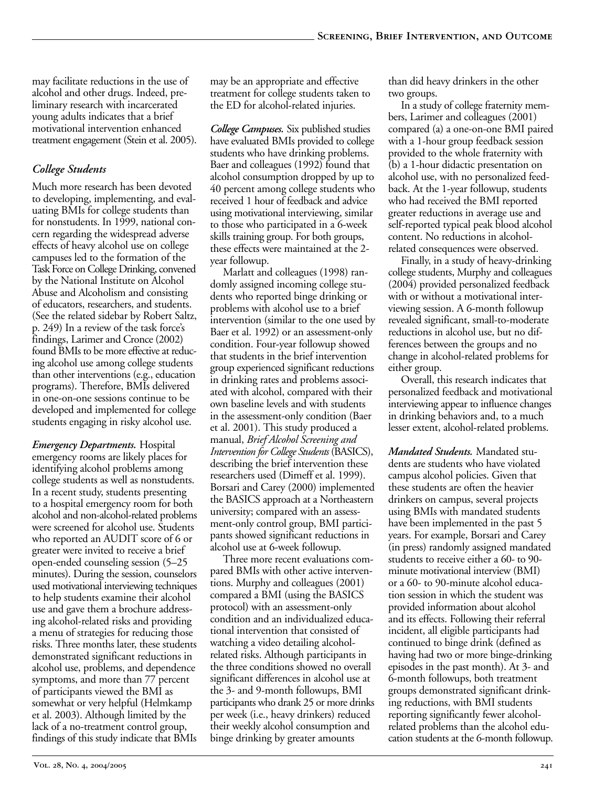may facilitate reductions in the use of alcohol and other drugs. Indeed, preliminary research with incarcerated young adults indicates that a brief motivational intervention enhanced treatment engagement (Stein et al. 2005).

#### *College Students*

Much more research has been devoted to developing, implementing, and evaluating BMIs for college students than for nonstudents. In 1999, national concern regarding the widespread adverse effects of heavy alcohol use on college campuses led to the formation of the Task Force on College Drinking, convened by the National Institute on Alcohol Abuse and Alcoholism and consisting of educators, researchers, and students. (See the related sidebar by Robert Saltz, p. 249) In a review of the task force's findings, Larimer and Cronce (2002) found BMIs to be more effective at reducing alcohol use among college students than other interventions (e.g., education programs). Therefore, BMIs delivered in one-on-one sessions continue to be developed and implemented for college students engaging in risky alcohol use.

*Emergency Departments.* Hospital emergency rooms are likely places for identifying alcohol problems among college students as well as nonstudents. In a recent study, students presenting to a hospital emergency room for both alcohol and non-alcohol-related problems were screened for alcohol use. Students who reported an AUDIT score of 6 or greater were invited to receive a brief open-ended counseling session (5–25) minutes). During the session, counselors used motivational interviewing techniques to help students examine their alcohol use and gave them a brochure addressing alcohol-related risks and providing a menu of strategies for reducing those risks. Three months later, these students demonstrated significant reductions in alcohol use, problems, and dependence symptoms, and more than 77 percent of participants viewed the BMI as somewhat or very helpful (Helmkamp et al. 2003). Although limited by the lack of a no-treatment control group, findings of this study indicate that BMIs

may be an appropriate and effective treatment for college students taken to the ED for alcohol-related injuries.

*College Campuses.* Six published studies have evaluated BMIs provided to college students who have drinking problems. Baer and colleagues (1992) found that alcohol consumption dropped by up to 40 percent among college students who received 1 hour of feedback and advice using motivational interviewing, similar to those who participated in a 6-week skills training group. For both groups, these effects were maintained at the 2 year followup.

Marlatt and colleagues (1998) randomly assigned incoming college students who reported binge drinking or problems with alcohol use to a brief intervention (similar to the one used by Baer et al. 1992) or an assessment-only condition. Four-year followup showed that students in the brief intervention group experienced significant reductions in drinking rates and problems associated with alcohol, compared with their own baseline levels and with students in the assessment-only condition (Baer et al. 2001). This study produced a manual, *Brief Alcohol Screening and Intervention for College Students* (BASICS), describing the brief intervention these researchers used (Dimeff et al. 1999). Borsari and Carey (2000) implemented the BASICS approach at a Northeastern university; compared with an assessment-only control group, BMI participants showed significant reductions in alcohol use at 6-week followup.

Three more recent evaluations compared BMIs with other active interventions. Murphy and colleagues (2001) compared a BMI (using the BASICS protocol) with an assessment-only condition and an individualized educational intervention that consisted of watching a video detailing alcoholrelated risks. Although participants in the three conditions showed no overall significant differences in alcohol use at the 3- and 9-month followups, BMI participants who drank 25 or more drinks per week (i.e., heavy drinkers) reduced their weekly alcohol consumption and binge drinking by greater amounts

than did heavy drinkers in the other two groups.

In a study of college fraternity members, Larimer and colleagues (2001) compared (a) a one-on-one BMI paired with a 1-hour group feedback session provided to the whole fraternity with (b) a 1-hour didactic presentation on alcohol use, with no personalized feedback. At the 1-year followup, students who had received the BMI reported greater reductions in average use and self-reported typical peak blood alcohol content. No reductions in alcoholrelated consequences were observed.

Finally, in a study of heavy-drinking college students, Murphy and colleagues (2004) provided personalized feedback with or without a motivational interviewing session. A 6-month followup revealed significant, small-to-moderate reductions in alcohol use, but no differences between the groups and no change in alcohol-related problems for either group.

Overall, this research indicates that personalized feedback and motivational interviewing appear to influence changes in drinking behaviors and, to a much lesser extent, alcohol-related problems.

*Mandated Students.* Mandated students are students who have violated campus alcohol policies. Given that these students are often the heavier drinkers on campus, several projects using BMIs with mandated students have been implemented in the past 5 years. For example, Borsari and Carey (in press) randomly assigned mandated students to receive either a 60- to 90minute motivational interview (BMI) or a 60- to 90-minute alcohol education session in which the student was provided information about alcohol and its effects. Following their referral incident, all eligible participants had continued to binge drink (defined as having had two or more binge-drinking episodes in the past month). At 3- and 6-month followups, both treatment groups demonstrated significant drinking reductions, with BMI students reporting significantly fewer alcoholrelated problems than the alcohol education students at the 6-month followup.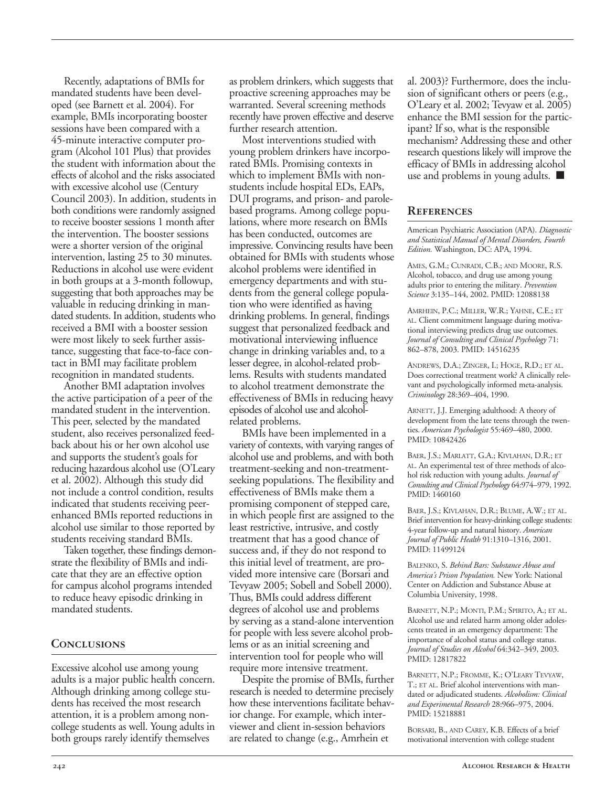Recently, adaptations of BMIs for mandated students have been developed (see Barnett et al. 2004). For example, BMIs incorporating booster sessions have been compared with a 45-minute interactive computer program (Alcohol 101 Plus) that provides the student with information about the effects of alcohol and the risks associated with excessive alcohol use (Century Council 2003). In addition, students in both conditions were randomly assigned to receive booster sessions 1 month after the intervention. The booster sessions were a shorter version of the original intervention, lasting 25 to 30 minutes. Reductions in alcohol use were evident in both groups at a 3-month followup, suggesting that both approaches may be valuable in reducing drinking in mandated students. In addition, students who received a BMI with a booster session were most likely to seek further assistance, suggesting that face-to-face contact in BMI may facilitate problem recognition in mandated students.

Another BMI adaptation involves the active participation of a peer of the mandated student in the intervention. This peer, selected by the mandated student, also receives personalized feedback about his or her own alcohol use and supports the student's goals for reducing hazardous alcohol use (O'Leary et al. 2002). Although this study did not include a control condition, results indicated that students receiving peerenhanced BMIs reported reductions in alcohol use similar to those reported by students receiving standard BMIs.

Taken together, these findings demonstrate the flexibility of BMIs and indicate that they are an effective option for campus alcohol programs intended to reduce heavy episodic drinking in mandated students.

#### **Conclusions**

Excessive alcohol use among young adults is a major public health concern. Although drinking among college students has received the most research attention, it is a problem among noncollege students as well. Young adults in both groups rarely identify themselves

as problem drinkers, which suggests that proactive screening approaches may be warranted. Several screening methods recently have proven effective and deserve further research attention.

Most interventions studied with young problem drinkers have incorporated BMIs. Promising contexts in which to implement BMIs with nonstudents include hospital EDs, EAPs, DUI programs, and prison- and parolebased programs. Among college populations, where more research on BMIs has been conducted, outcomes are impressive. Convincing results have been obtained for BMIs with students whose alcohol problems were identified in emergency departments and with students from the general college population who were identified as having drinking problems. In general, findings suggest that personalized feedback and motivational interviewing influence change in drinking variables and, to a lesser degree, in alcohol-related problems. Results with students mandated to alcohol treatment demonstrate the effectiveness of BMIs in reducing heavy episodes of alcohol use and alcoholrelated problems.

BMIs have been implemented in a variety of contexts, with varying ranges of alcohol use and problems, and with both treatment-seeking and non-treatmentseeking populations. The flexibility and effectiveness of BMIs make them a promising component of stepped care, in which people first are assigned to the least restrictive, intrusive, and costly treatment that has a good chance of success and, if they do not respond to this initial level of treatment, are provided more intensive care (Borsari and Tevyaw 2005; Sobell and Sobell 2000). Thus, BMIs could address different degrees of alcohol use and problems by serving as a stand-alone intervention for people with less severe alcohol problems or as an initial screening and intervention tool for people who will require more intensive treatment.

Despite the promise of BMIs, further research is needed to determine precisely how these interventions facilitate behavior change. For example, which interviewer and client in-session behaviors are related to change (e.g., Amrhein et

al. 2003)? Furthermore, does the inclusion of significant others or peers (e.g., O'Leary et al. 2002; Tevyaw et al. 2005) enhance the BMI session for the participant? If so, what is the responsible mechanism? Addressing these and other research questions likely will improve the efficacy of BMIs in addressing alcohol use and problems in young adults. ■

#### **References**

American Psychiatric Association (APA). *Diagnostic and Statistical Manual of Mental Disorders, Fourth Edition.* Washington, DC: APA, 1994.

AMES, G.M.; CUNRADI, C.B.; AND MOORE, R.S. Alcohol, tobacco, and drug use among young adults prior to entering the military. *Prevention Science* 3:135–144, 2002. PMID: 12088138

AMRHEIN, P.C.; MILLER, W.R.; YAHNE, C.E.; ET AL. Client commitment language during motivational interviewing predicts drug use outcomes. *Journal of Consulting and Clinical Psychology* 71: 862–878, 2003. PMID: 14516235

ANDREWS, D.A.; ZINGER, I.; HOGE, R.D.; ET AL. Does correctional treatment work? A clinically relevant and psychologically informed meta-analysis. *Criminology* 28:369–404, 1990.

ARNETT, J.J. Emerging adulthood: A theory of development from the late teens through the twenties. *American Psychologist* 55:469–480, 2000. PMID: 10842426

BAER, J.S.; MARLATT, G.A.; KIVLAHAN, D.R.; ET AL. An experimental test of three methods of alcohol risk reduction with young adults. *Journal of Consulting and Clinical Psychology* 64:974–979, 1992. PMID: 1460160

BAER, J.S.; KIVLAHAN, D.R.; BLUME, A.W.; ET AL. Brief intervention for heavy-drinking college students: 4-year follow-up and natural history. *American Journal of Public Health* 91:1310–1316, 2001. PMID: 11499124

BALENKO, S. *Behind Bars: Substance Abuse and America's Prison Population.* New York: National Center on Addiction and Substance Abuse at Columbia University, 1998.

BARNETT, N.P.; MONTI, P.M.; SPIRITO, A.; ET AL. Alcohol use and related harm among older adolescents treated in an emergency department: The importance of alcohol status and college status. *Journal of Studies on Alcohol* 64:342–349, 2003. PMID: 12817822

BARNETT, N.P.; FROMME, K.; O'LEARY TEVYAW, T.; ET AL. Brief alcohol interventions with mandated or adjudicated students. *Alcoholism: Clinical and Experimental Research* 28:966–975, 2004. PMID: 15218881

BORSARI, B., AND CAREY, K.B. Effects of a brief motivational intervention with college student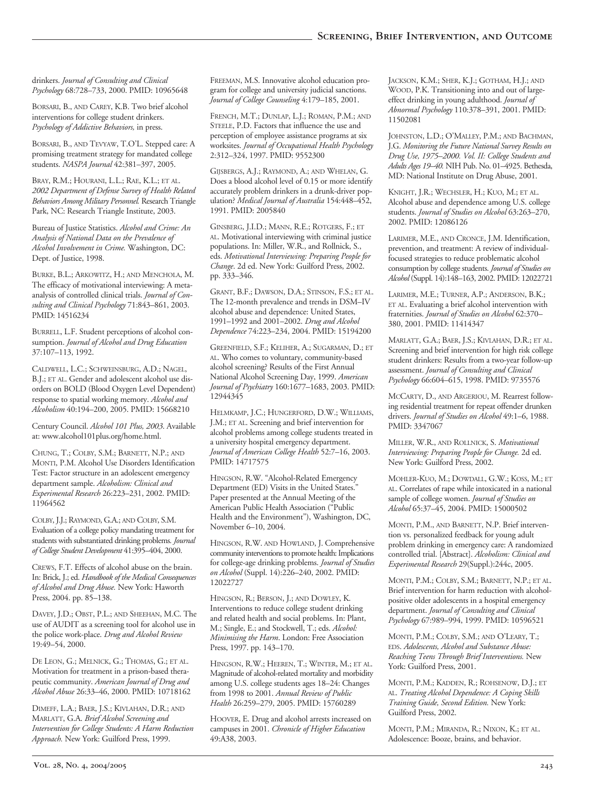drinkers. *Journal of Consulting and Clinical Psychology* 68:728–733, 2000. PMID: 10965648

BORSARI, B., AND CAREY, K.B. Two brief alcohol interventions for college student drinkers. *Psychology of Addictive Behaviors,* in press.

BORSARI, B., AND TEVYAW, T.O'L. Stepped care: A promising treatment strategy for mandated college students. *NASPA Journal* 42:381–397, 2005.

BRAY, R.M.; HOURANI, L.L.; RAE, K.L.; ET AL. *2002 Department of Defense Survey of Health Related Behaviors Among Military Personnel.* Research Triangle Park, NC: Research Triangle Institute, 2003.

Bureau of Justice Statistics. *Alcohol and Crime: An Analysis of National Data on the Prevalence of Alcohol Involvement in Crime.* Washington, DC: Dept. of Justice, 1998.

BURKE, B.L.; ARKOWITZ, H.; AND MENCHOLA, M. The efficacy of motivational interviewing: A metaanalysis of controlled clinical trials. *Journal of Consulting and Clinical Psychology* 71:843–861, 2003. PMID: 14516234

BURRELL, L.F. Student perceptions of alcohol consumption. *Journal of Alcohol and Drug Education*  37:107–113, 1992.

CALDWELL, L.C.; SCHWEINSBURG, A.D.; NAGEL, B.J.; ET AL. Gender and adolescent alcohol use disorders on BOLD (Blood Oxygen Level Dependent) response to spatial working memory. *Alcohol and Alcoholism* 40:194–200, 2005. PMID: 15668210

Century Council. *Alcohol 101 Plus, 2003*. Available at: www.alcohol101plus.org/home.html.

CHUNG, T.; COLBY, S.M.; BARNETT, N.P.; AND MONTI, P.M. Alcohol Use Disorders Identification Test: Factor structure in an adolescent emergency department sample. *Alcoholism: Clinical and Experimental Research* 26:223–231, 2002. PMID: 11964562

COLBY, J.J.; RAYMOND, G.A.; AND COLBY, S.M. Evaluation of a college policy mandating treatment for students with substantiated drinking problems*. Journal of College Student Development* 41:395–404, 2000.

CREWS, F.T. Effects of alcohol abuse on the brain. In: Brick, J.; ed. *Handbook of the Medical Consequences of Alcohol and Drug Abuse.* New York: Haworth Press, 2004. pp. 85–138.

DAVEY, J.D.; OBST, P.L.; AND SHEEHAN, M.C. The use of AUDIT as a screening tool for alcohol use in the police work-place. *Drug and Alcohol Review*  19:49–54, 2000.

DE LEON, G.; MELNICK, G.; THOMAS, G.; ET AL. Motivation for treatment in a prison-based therapeutic community. *American Journal of Drug and Alcohol Abuse* 26:33–46, 2000. PMID: 10718162

DIMEFF, L.A.; BAER, J.S.; KIVLAHAN, D.R.; AND MARLATT, G.A. *Brief Alcohol Screening and Intervention for College Students: A Harm Reduction Approach.* New York: Guilford Press, 1999.

FREEMAN, M.S. Innovative alcohol education program for college and university judicial sanctions. *Journal of College Counseling* 4:179–185, 2001.

FRENCH, M.T.; DUNLAP, L.J.; ROMAN, P.M.; AND STEELE, P.D. Factors that influence the use and perception of employee assistance programs at six worksites. *Journal of Occupational Health Psychology*  2:312–324, 1997. PMID: 9552300

GIJSBERGS, A.J.; RAYMOND, A.; AND WHELAN, G. Does a blood alcohol level of 0.15 or more identify accurately problem drinkers in a drunk-driver population? *Medical Journal of Australia* 154:448–452, 1991. PMID: 2005840

GINSBERG, J.I.D.; MANN, R.E.; ROTGERS, F.; ET AL. Motivational interviewing with criminal justice populations. In: Miller, W.R., and Rollnick, S., eds. *Motivational Interviewing: Preparing People for Change*. 2d ed. New York: Guilford Press, 2002. pp. 333–346.

GRANT, B.F.; DAWSON, D.A.; STINSON, F.S.; ET AL. The 12-month prevalence and trends in DSM–IV alcohol abuse and dependence: United States, 1991–1992 and 2001–2002. *Drug and Alcohol Dependence* 74:223–234, 2004. PMID: 15194200

GREENFIELD, S.F.; KELIHER, A.; SUGARMAN, D.; ET AL. Who comes to voluntary, community-based alcohol screening? Results of the First Annual National Alcohol Screening Day, 1999. *American Journal of Psychiatry* 160:1677–1683, 2003. PMID: 12944345

HELMKAMP, J.C.; HUNGERFORD, D.W.; WILLIAMS, J.M.; ET AL. Screening and brief intervention for alcohol problems among college students treated in a university hospital emergency department. *Journal of American College Health* 52:7–16, 2003. PMID: 14717575

HINGSON, R.W. "Alcohol-Related Emergency Department (ED) Visits in the United States." Paper presented at the Annual Meeting of the American Public Health Association ("Public Health and the Environment"), Washington, DC, November 6–10, 2004.

HINGSON, R.W. AND HOWLAND, J. Comprehensive community interventions to promote health: Implications for college-age drinking problems. *Journal of Studies on Alcohol* (Suppl. 14):226–240, 2002. PMID: 12022727

HINGSON, R.; BERSON, J.; AND DOWLEY, K. Interventions to reduce college student drinking and related health and social problems. In: Plant, M.; Single, E.; and Stockwell, T.; eds. *Alcohol: Minimising the Harm*. London: Free Association Press, 1997. pp. 143–170.

HINGSON, R.W.; HEEREN, T.; WINTER, M.; ET AL. Magnitude of alcohol-related mortality and morbidity among U.S. college students ages 18–24: Changes from 1998 to 2001. *Annual Review of Public Health* 26:259–279, 2005. PMID: 15760289

HOOVER, E. Drug and alcohol arrests increased on campuses in 2001. *Chronicle of Higher Education*  49:A38, 2003.

JACKSON, K.M.; SHER, K.J.; GOTHAM, H.J.; AND WOOD, P.K. Transitioning into and out of largeeffect drinking in young adulthood. *Journal of Abnormal Psychology* 110:378–391, 2001. PMID: 11502081

JOHNSTON, L.D.; O'MALLEY, P.M.; AND BACHMAN, J.G. *Monitoring the Future National Survey Results on Drug Use, 1975–2000. Vol. II: College Students and Adults Ages 19–40.* NIH Pub. No. 01–4925. Bethesda, MD: National Institute on Drug Abuse, 2001.

KNIGHT, J.R.; WECHSLER, H.; KUO, M.; ET AL. Alcohol abuse and dependence among U.S. college students. *Journal of Studies on Alcohol* 63:263–270, 2002. PMID: 12086126

LARIMER, M.E., AND CRONCE, J.M. Identification, prevention, and treatment: A review of individualfocused strategies to reduce problematic alcohol consumption by college students. *Journal of Studies on Alcohol* (Suppl. 14):148–163, 2002. PMID: 12022721

LARIMER, M.E.; TURNER, A.P.; ANDERSON, B.K.; ET AL. Evaluating a brief alcohol intervention with fraternities. *Journal of Studies on Alcohol* 62:370– 380, 2001. PMID: 11414347

MARLATT, G.A.; BAER, J.S.; KIVLAHAN, D.R.; ET AL. Screening and brief intervention for high risk college student drinkers: Results from a two-year follow-up assessment. *Journal of Consulting and Clinical Psychology* 66:604–615, 1998. PMID: 9735576

MCCARTY, D., AND ARGERIOU, M. Rearrest following residential treatment for repeat offender drunken drivers. *Journal of Studies on Alcohol* 49:1–6, 1988. PMID: 3347067

MILLER, W.R., AND ROLLNICK, S. *Motivational Interviewing: Preparing People for Change.* 2d ed. New York: Guilford Press, 2002.

MOHLER-KUO, M.; DOWDALL, G.W.; KOSS, M.; ET AL. Correlates of rape while intoxicated in a national sample of college women. *Journal of Studies on Alcohol* 65:37–45, 2004. PMID: 15000502

MONTI, P.M., AND BARNETT, N.P. Brief intervention vs. personalized feedback for young adult problem drinking in emergency care: A randomized controlled trial. [Abstract]. *Alcoholism: Clinical and Experimental Research* 29(Suppl.):244c, 2005.

MONTI, P.M.; COLBY, S.M.; BARNETT, N.P.; ET AL. Brief intervention for harm reduction with alcoholpositive older adolescents in a hospital emergency department. *Journal of Consulting and Clinical Psychology* 67:989–994, 1999. PMID: 10596521

MONTI, P.M.; COLBY, S.M.; AND O'LEARY, T.; EDS. *Adolescents, Alcohol and Substance Abuse: Reaching Teens Through Brief Interventions.* New York: Guilford Press, 2001.

MONTI, P.M.; KADDEN, R.; ROHSENOW, D.J.; ET AL. *Treating Alcohol Dependence: A Coping Skills Training Guide, Second Edition.* New York: Guilford Press, 2002.

MONTI, P.M.; MIRANDA, R.; NIXON, K.; ET AL. Adolescence: Booze, brains, and behavior.